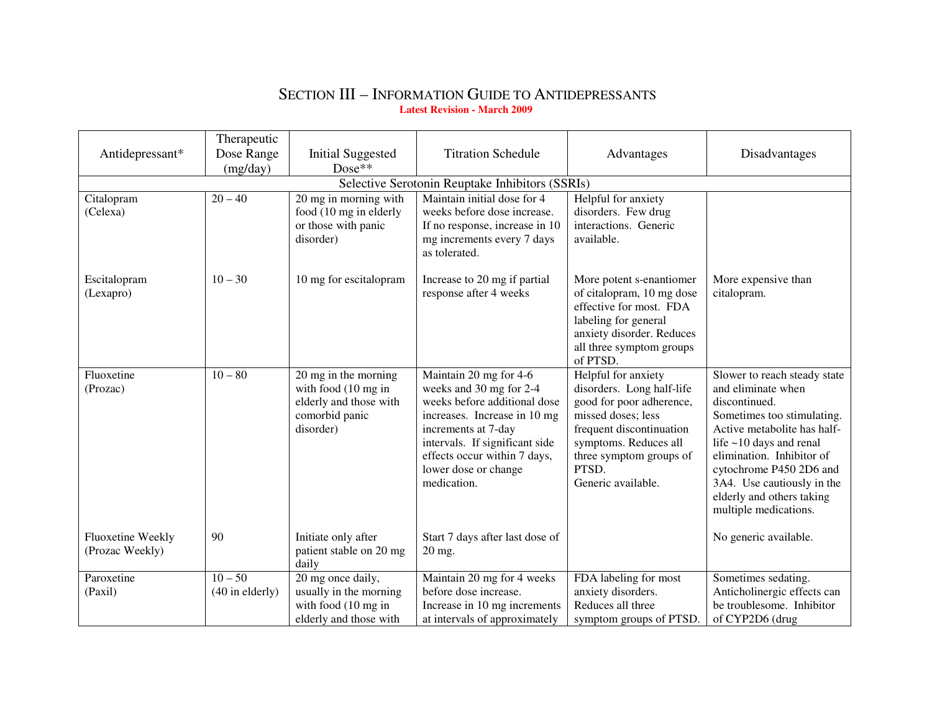## SECTION III – INFORMATION GUIDE TO ANTIDEPRESSANTS**Latest Revision - March 2009**

|                                      | Therapeutic                    |                                                                                                      |                                                                                                                                                                                                                                                   |                                                                                                                                                                                                                   |                                                                                                                                                                                                                                                                                                               |
|--------------------------------------|--------------------------------|------------------------------------------------------------------------------------------------------|---------------------------------------------------------------------------------------------------------------------------------------------------------------------------------------------------------------------------------------------------|-------------------------------------------------------------------------------------------------------------------------------------------------------------------------------------------------------------------|---------------------------------------------------------------------------------------------------------------------------------------------------------------------------------------------------------------------------------------------------------------------------------------------------------------|
| Antidepressant*                      | Dose Range                     | <b>Initial Suggested</b>                                                                             | <b>Titration Schedule</b>                                                                                                                                                                                                                         | Advantages                                                                                                                                                                                                        | Disadvantages                                                                                                                                                                                                                                                                                                 |
|                                      | (mg/day)                       | $Dose**$                                                                                             |                                                                                                                                                                                                                                                   |                                                                                                                                                                                                                   |                                                                                                                                                                                                                                                                                                               |
|                                      |                                |                                                                                                      | Selective Serotonin Reuptake Inhibitors (SSRIs)                                                                                                                                                                                                   |                                                                                                                                                                                                                   |                                                                                                                                                                                                                                                                                                               |
| Citalopram<br>(Celexa)               | $20 - 40$                      | 20 mg in morning with<br>food (10 mg in elderly<br>or those with panic<br>disorder)                  | Maintain initial dose for 4<br>weeks before dose increase.<br>If no response, increase in 10<br>mg increments every 7 days<br>as tolerated.                                                                                                       | Helpful for anxiety<br>disorders. Few drug<br>interactions. Generic<br>available.                                                                                                                                 |                                                                                                                                                                                                                                                                                                               |
| Escitalopram<br>(Lexapro)            | $10 - 30$                      | 10 mg for escitalopram                                                                               | Increase to 20 mg if partial<br>response after 4 weeks                                                                                                                                                                                            | More potent s-enantiomer<br>of citalopram, 10 mg dose<br>effective for most. FDA<br>labeling for general<br>anxiety disorder. Reduces<br>all three symptom groups<br>of PTSD.                                     | More expensive than<br>citalopram.                                                                                                                                                                                                                                                                            |
| Fluoxetine<br>(Prozac)               | $10 - 80$                      | 20 mg in the morning<br>with food (10 mg in<br>elderly and those with<br>comorbid panic<br>disorder) | Maintain 20 mg for 4-6<br>weeks and 30 mg for 2-4<br>weeks before additional dose<br>increases. Increase in 10 mg<br>increments at 7-day<br>intervals. If significant side<br>effects occur within 7 days,<br>lower dose or change<br>medication. | Helpful for anxiety<br>disorders. Long half-life<br>good for poor adherence,<br>missed doses; less<br>frequent discontinuation<br>symptoms. Reduces all<br>three symptom groups of<br>PTSD.<br>Generic available. | Slower to reach steady state<br>and eliminate when<br>discontinued.<br>Sometimes too stimulating.<br>Active metabolite has half-<br>life $\sim$ 10 days and renal<br>elimination. Inhibitor of<br>cytochrome P450 2D6 and<br>3A4. Use cautiously in the<br>elderly and others taking<br>multiple medications. |
| Fluoxetine Weekly<br>(Prozac Weekly) | 90                             | Initiate only after<br>patient stable on 20 mg<br>daily                                              | Start 7 days after last dose of<br>$20 \text{ mg}$ .                                                                                                                                                                                              |                                                                                                                                                                                                                   | No generic available.                                                                                                                                                                                                                                                                                         |
| Paroxetine<br>(Paxil)                | $10 - 50$<br>$(40$ in elderly) | 20 mg once daily,<br>usually in the morning<br>with food (10 mg in<br>elderly and those with         | Maintain 20 mg for 4 weeks<br>before dose increase.<br>Increase in 10 mg increments<br>at intervals of approximately                                                                                                                              | FDA labeling for most<br>anxiety disorders.<br>Reduces all three<br>symptom groups of PTSD.                                                                                                                       | Sometimes sedating.<br>Anticholinergic effects can<br>be troublesome. Inhibitor<br>of CYP2D6 (drug                                                                                                                                                                                                            |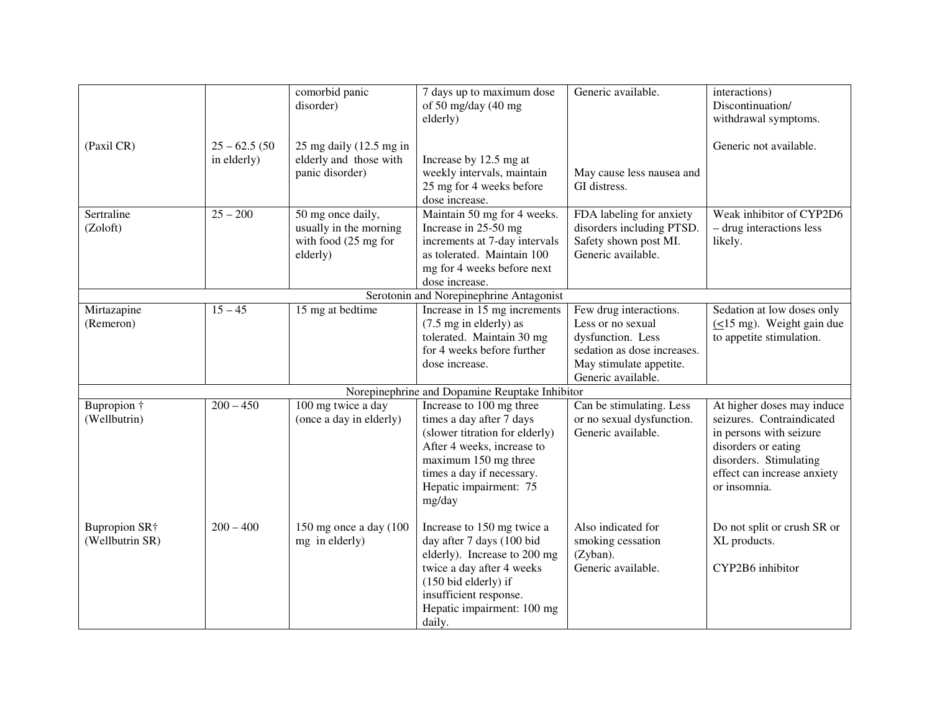|                           |                 | comorbid panic              | 7 days up to maximum dose                      | Generic available.          | interactions)                             |
|---------------------------|-----------------|-----------------------------|------------------------------------------------|-----------------------------|-------------------------------------------|
|                           |                 | disorder)                   | of 50 mg/day (40 mg                            |                             | Discontinuation/                          |
|                           |                 |                             | elderly)                                       |                             | withdrawal symptoms.                      |
|                           |                 |                             |                                                |                             |                                           |
| (Paxil CR)                | $25 - 62.5(50)$ | $25$ mg daily $(12.5$ mg in |                                                |                             | Generic not available.                    |
|                           | in elderly)     | elderly and those with      | Increase by 12.5 mg at                         |                             |                                           |
|                           |                 | panic disorder)             | weekly intervals, maintain                     | May cause less nausea and   |                                           |
|                           |                 |                             | 25 mg for 4 weeks before                       | GI distress.                |                                           |
|                           |                 |                             | dose increase.                                 |                             |                                           |
| Sertraline                | $25 - 200$      | 50 mg once daily,           | Maintain 50 mg for 4 weeks.                    | FDA labeling for anxiety    | Weak inhibitor of CYP2D6                  |
| (Zoloft)                  |                 | usually in the morning      | Increase in 25-50 mg                           | disorders including PTSD.   | - drug interactions less                  |
|                           |                 | with food (25 mg for        | increments at 7-day intervals                  | Safety shown post MI.       | likely.                                   |
|                           |                 | elderly)                    | as tolerated. Maintain 100                     | Generic available.          |                                           |
|                           |                 |                             | mg for 4 weeks before next                     |                             |                                           |
|                           |                 |                             | dose increase.                                 |                             |                                           |
|                           |                 |                             | Serotonin and Norepinephrine Antagonist        |                             |                                           |
| Mirtazapine               | $15 - 45$       | 15 mg at bedtime            | Increase in 15 mg increments                   | Few drug interactions.      | Sedation at low doses only                |
| (Remeron)                 |                 |                             | (7.5 mg in elderly) as                         | Less or no sexual           | $( \leq 15 \text{ mg})$ . Weight gain due |
|                           |                 |                             | tolerated. Maintain 30 mg                      | dysfunction. Less           | to appetite stimulation.                  |
|                           |                 |                             | for 4 weeks before further                     | sedation as dose increases. |                                           |
|                           |                 |                             | dose increase.                                 | May stimulate appetite.     |                                           |
|                           |                 |                             |                                                | Generic available.          |                                           |
|                           |                 |                             | Norepinephrine and Dopamine Reuptake Inhibitor |                             |                                           |
| Bupropion †               | $200 - 450$     | 100 mg twice a day          | Increase to 100 mg three                       | Can be stimulating. Less    | At higher doses may induce                |
| (Wellbutrin)              |                 | (once a day in elderly)     | times a day after 7 days                       | or no sexual dysfunction.   | seizures. Contraindicated                 |
|                           |                 |                             | (slower titration for elderly)                 | Generic available.          | in persons with seizure                   |
|                           |                 |                             | After 4 weeks, increase to                     |                             | disorders or eating                       |
|                           |                 |                             | maximum 150 mg three                           |                             | disorders. Stimulating                    |
|                           |                 |                             | times a day if necessary.                      |                             | effect can increase anxiety               |
|                           |                 |                             | Hepatic impairment: 75                         |                             | or insomnia.                              |
|                           |                 |                             | mg/day                                         |                             |                                           |
|                           |                 |                             |                                                |                             |                                           |
| Bupropion SR <sup>+</sup> | $200 - 400$     | 150 mg once a day (100      | Increase to 150 mg twice a                     | Also indicated for          | Do not split or crush SR or               |
| (Wellbutrin SR)           |                 | mg in elderly)              | day after 7 days (100 bid                      | smoking cessation           | XL products.                              |
|                           |                 |                             | elderly). Increase to 200 mg                   | (Zyban).                    |                                           |
|                           |                 |                             | twice a day after 4 weeks                      | Generic available.          | CYP2B6 inhibitor                          |
|                           |                 |                             | (150 bid elderly) if                           |                             |                                           |
|                           |                 |                             | insufficient response.                         |                             |                                           |
|                           |                 |                             | Hepatic impairment: 100 mg                     |                             |                                           |
|                           |                 |                             | daily.                                         |                             |                                           |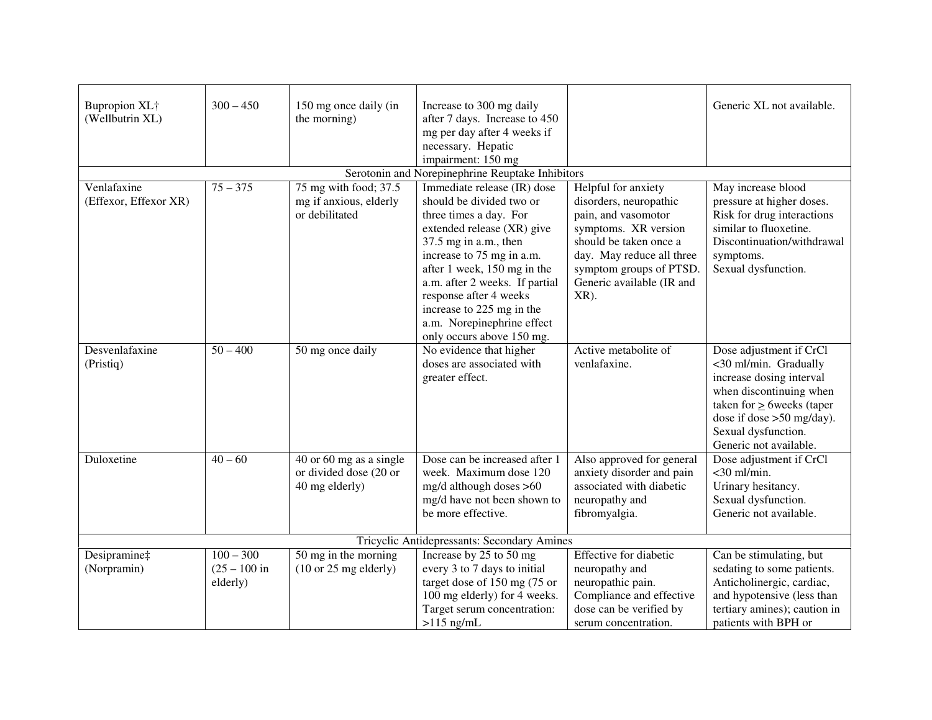| Bupropion XL+<br>(Wellbutrin XL)     | $300 - 450$                                      | 150 mg once daily (in<br>the morning)                               | Increase to 300 mg daily<br>after 7 days. Increase to 450<br>mg per day after 4 weeks if<br>necessary. Hepatic                                                                                                                                                                                                                                           |                                                                                                                                                                                                                     | Generic XL not available.                                                                                                                                                                                                  |  |  |
|--------------------------------------|--------------------------------------------------|---------------------------------------------------------------------|----------------------------------------------------------------------------------------------------------------------------------------------------------------------------------------------------------------------------------------------------------------------------------------------------------------------------------------------------------|---------------------------------------------------------------------------------------------------------------------------------------------------------------------------------------------------------------------|----------------------------------------------------------------------------------------------------------------------------------------------------------------------------------------------------------------------------|--|--|
|                                      |                                                  |                                                                     | impairment: 150 mg                                                                                                                                                                                                                                                                                                                                       |                                                                                                                                                                                                                     |                                                                                                                                                                                                                            |  |  |
|                                      | Serotonin and Norepinephrine Reuptake Inhibitors |                                                                     |                                                                                                                                                                                                                                                                                                                                                          |                                                                                                                                                                                                                     |                                                                                                                                                                                                                            |  |  |
| Venlafaxine<br>(Effexor, Effexor XR) | $75 - 375$                                       | 75 mg with food; 37.5<br>mg if anxious, elderly<br>or debilitated   | Immediate release (IR) dose<br>should be divided two or<br>three times a day. For<br>extended release (XR) give<br>37.5 mg in a.m., then<br>increase to 75 mg in a.m.<br>after 1 week, 150 mg in the<br>a.m. after 2 weeks. If partial<br>response after 4 weeks<br>increase to 225 mg in the<br>a.m. Norepinephrine effect<br>only occurs above 150 mg. | Helpful for anxiety<br>disorders, neuropathic<br>pain, and vasomotor<br>symptoms. XR version<br>should be taken once a<br>day. May reduce all three<br>symptom groups of PTSD.<br>Generic available (IR and<br>XR). | May increase blood<br>pressure at higher doses.<br>Risk for drug interactions<br>similar to fluoxetine.<br>Discontinuation/withdrawal<br>symptoms.<br>Sexual dysfunction.                                                  |  |  |
| Desvenlafaxine<br>(Pristiq)          | $50 - 400$                                       | 50 mg once daily                                                    | No evidence that higher<br>doses are associated with<br>greater effect.                                                                                                                                                                                                                                                                                  | Active metabolite of<br>venlafaxine.                                                                                                                                                                                | Dose adjustment if CrCl<br><30 ml/min. Gradually<br>increase dosing interval<br>when discontinuing when<br>taken for $\geq$ 6 weeks (taper<br>dose if dose $>50$ mg/day).<br>Sexual dysfunction.<br>Generic not available. |  |  |
| Duloxetine                           | $40 - 60$                                        | 40 or 60 mg as a single<br>or divided dose (20 or<br>40 mg elderly) | Dose can be increased after 1<br>week. Maximum dose 120<br>mg/d although doses >60<br>mg/d have not been shown to<br>be more effective.                                                                                                                                                                                                                  | Also approved for general<br>anxiety disorder and pain<br>associated with diabetic<br>neuropathy and<br>fibromyalgia.                                                                                               | Dose adjustment if CrCl<br>$<$ 30 ml/min.<br>Urinary hesitancy.<br>Sexual dysfunction.<br>Generic not available.                                                                                                           |  |  |
|                                      | Tricyclic Antidepressants: Secondary Amines      |                                                                     |                                                                                                                                                                                                                                                                                                                                                          |                                                                                                                                                                                                                     |                                                                                                                                                                                                                            |  |  |
| Desipramine‡<br>(Norpramin)          | $100 - 300$<br>$(25 - 100)$ in<br>elderly)       | 50 mg in the morning<br>$(10 or 25 mg$ elderly)                     | Increase by 25 to 50 mg<br>every 3 to 7 days to initial<br>target dose of 150 mg (75 or<br>100 mg elderly) for 4 weeks.<br>Target serum concentration:                                                                                                                                                                                                   | Effective for diabetic<br>neuropathy and<br>neuropathic pain.<br>Compliance and effective<br>dose can be verified by                                                                                                | Can be stimulating, but<br>sedating to some patients.<br>Anticholinergic, cardiac,<br>and hypotensive (less than<br>tertiary amines); caution in                                                                           |  |  |
|                                      |                                                  |                                                                     | $>115$ ng/mL                                                                                                                                                                                                                                                                                                                                             | serum concentration.                                                                                                                                                                                                | patients with BPH or                                                                                                                                                                                                       |  |  |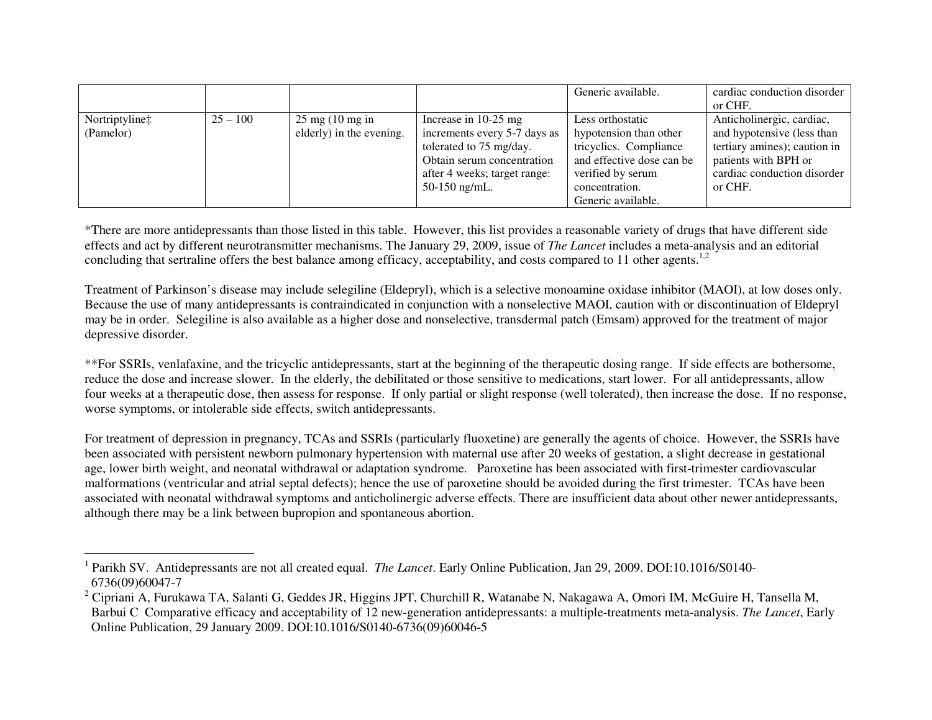|                |            |                                    |                              | Generic available.        | cardiac conduction disorder  |
|----------------|------------|------------------------------------|------------------------------|---------------------------|------------------------------|
|                |            |                                    |                              |                           | or CHF.                      |
| Nortriptyline‡ | $25 - 100$ | $25 \text{ mg} (10 \text{ mg in})$ | Increase in $10-25$ mg       | Less orthostatic          | Anticholinergic, cardiac,    |
| (Pamelor)      |            | elderly) in the evening.           | increments every 5-7 days as | hypotension than other    | and hypotensive (less than   |
|                |            |                                    | tolerated to 75 mg/day.      | tricyclics. Compliance    | tertiary amines); caution in |
|                |            |                                    | Obtain serum concentration   | and effective dose can be | patients with BPH or         |
|                |            |                                    | after 4 weeks; target range: | verified by serum         | cardiac conduction disorder  |
|                |            |                                    | $50-150$ ng/mL.              | concentration.            | or CHF.                      |
|                |            |                                    |                              | Generic available.        |                              |

\*There are more antidepressants than those listed in this table. However, this list provides a reasonable variety of drugs that have different side effects and act by different neurotransmitter mechanisms. The January 29, 2009, issue of *The Lancet* includes a meta-analysis and an editorial concluding that sertraline offers the best balance among efficacy, acceptability, and costs compared to 11 other agents.<sup>1,2</sup>

Treatment of Parkinson's disease may include selegiline (Eldepryl), which is a selective monoamine oxidase inhibitor (MAOI), at low doses only. Because the use of many antidepressants is contraindicated in conjunction with a nonselective MAOI, caution with or discontinuation of Eldepryl may be in order. Selegiline is also available as a higher dose and nonselective, transdermal patch (Emsam) approved for the treatment of major depressive disorder.

\*\*For SSRIs, venlafaxine, and the tricyclic antidepressants, start at the beginning of the therapeutic dosing range. If side effects are bothersome, reduce the dose and increase slower. In the elderly, the debilitated or those sensitive to medications, start lower. For all antidepressants, allow four weeks at a therapeutic dose, then assess for response. If only partial or slight response (well tolerated), then increase the dose. If no response, worse symptoms, or intolerable side effects, switch antidepressants.

For treatment of depression in pregnancy, TCAs and SSRIs (particularly fluoxetine) are generally the agents of choice. However, the SSRIs have been associated with persistent newborn pulmonary hypertension with maternal use after 20 weeks of gestation, a slight decrease in gestational age, lower birth weight, and neonatal withdrawal or adaptation syndrome. Paroxetine has been associated with first-trimester cardiovascular malformations (ventricular and atrial septal defects); hence the use of paroxetine should be avoided during the first trimester. TCAs have been associated with neonatal withdrawal symptoms and anticholinergic adverse effects. There are insufficient data about other newer antidepressants, although there may be a link between bupropion and spontaneous abortion.

<sup>1</sup> Parikh SV. Antidepressants are not all created equal. *The Lancet*. Early Online Publication, Jan 29, 2009. DOI:10.1016/S0140- 6736(09)60047-7

<sup>&</sup>lt;sup>2</sup> Cipriani A, Furukawa TA, Salanti G, Geddes JR, Higgins JPT, Churchill R, Watanabe N, Nakagawa A, Omori IM, McGuire H, Tansella M, Barbui C Comparative efficacy and acceptability of 12 new-generation antidepressants: a multiple-treatments meta-analysis. *The Lancet*, Early Online Publication, 29 January 2009. DOI:10.1016/S0140-6736(09)60046-5